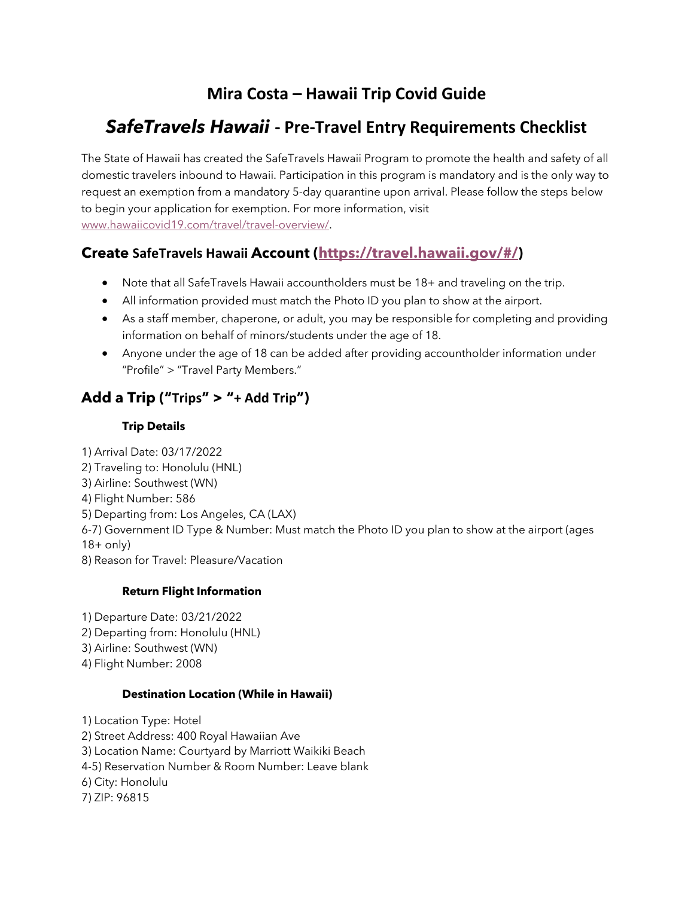# **Mira Costa – Hawaii Trip Covid Guide**

# *SafeTravels Hawaii* **- Pre-Travel Entry Requirements Checklist**

The State of Hawaii has created the SafeTravels Hawaii Program to promote the health and safety of all domestic travelers inbound to Hawaii. Participation in this program is mandatory and is the only way to request an exemption from a mandatory 5-day quarantine upon arrival. Please follow the steps below to begin your application for exemption. For more information, visit www.hawaiicovid19.com/travel/travel-overview/.

# **Create SafeTravels Hawaii Account (https://travel.hawaii.gov/#/)**

- Note that all SafeTravels Hawaii accountholders must be 18+ and traveling on the trip.
- All information provided must match the Photo ID you plan to show at the airport.
- As a staff member, chaperone, or adult, you may be responsible for completing and providing information on behalf of minors/students under the age of 18.
- Anyone under the age of 18 can be added after providing accountholder information under "Profile" > "Travel Party Members."

# **Add a Trip ("Trips" > "+ Add Trip")**

## **Trip Details**

1) Arrival Date: 03/17/2022 2) Traveling to: Honolulu (HNL) 3) Airline: Southwest (WN) 4) Flight Number: 586 5) Departing from: Los Angeles, CA (LAX) 6-7) Government ID Type & Number: Must match the Photo ID you plan to show at the airport (ages  $18+$  only) 8) Reason for Travel: Pleasure/Vacation

## **Return Flight Information**

1) Departure Date: 03/21/2022 2) Departing from: Honolulu (HNL) 3) Airline: Southwest (WN) 4) Flight Number: 2008

#### **Destination Location (While in Hawaii)**

1) Location Type: Hotel 2) Street Address: 400 Royal Hawaiian Ave 3) Location Name: Courtyard by Marriott Waikiki Beach 4-5) Reservation Number & Room Number: Leave blank 6) City: Honolulu 7) ZIP: 96815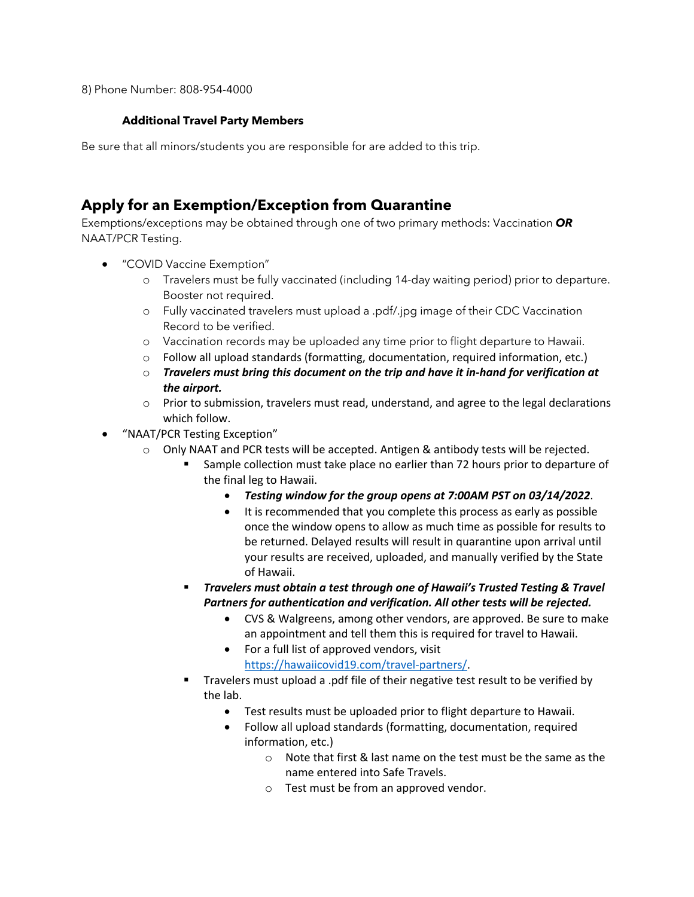8) Phone Number: 808-954-4000

#### **Additional Travel Party Members**

Be sure that all minors/students you are responsible for are added to this trip.

## **Apply for an Exemption/Exception from Quarantine**

Exemptions/exceptions may be obtained through one of two primary methods: Vaccination *OR*  NAAT/PCR Testing.

- "COVID Vaccine Exemption"
	- o Travelers must be fully vaccinated (including 14-day waiting period) prior to departure. Booster not required.
	- o Fully vaccinated travelers must upload a .pdf/.jpg image of their CDC Vaccination Record to be verified.
	- o Vaccination records may be uploaded any time prior to flight departure to Hawaii.
	- $\circ$  Follow all upload standards (formatting, documentation, required information, etc.)
	- o *Travelers must bring this document on the trip and have it in-hand for verification at the airport.*
	- $\circ$  Prior to submission, travelers must read, understand, and agree to the legal declarations which follow.
- "NAAT/PCR Testing Exception"
	- $\circ$  Only NAAT and PCR tests will be accepted. Antigen & antibody tests will be rejected.
		- § Sample collection must take place no earlier than 72 hours prior to departure of the final leg to Hawaii.
			- *Testing window for the group opens at 7:00AM PST on 03/14/2022*.
			- It is recommended that you complete this process as early as possible once the window opens to allow as much time as possible for results to be returned. Delayed results will result in quarantine upon arrival until your results are received, uploaded, and manually verified by the State of Hawaii.
		- § *Travelers must obtain a test through one of Hawaii's Trusted Testing & Travel Partners for authentication and verification. All other tests will be rejected.*
			- CVS & Walgreens, among other vendors, are approved. Be sure to make an appointment and tell them this is required for travel to Hawaii.
			- For a full list of approved vendors, visit
				- https://hawaiicovid19.com/travel-partners/.
		- § Travelers must upload a .pdf file of their negative test result to be verified by the lab.
			- Test results must be uploaded prior to flight departure to Hawaii.
			- Follow all upload standards (formatting, documentation, required information, etc.)
				- $\circ$  Note that first & last name on the test must be the same as the name entered into Safe Travels.
				- o Test must be from an approved vendor.